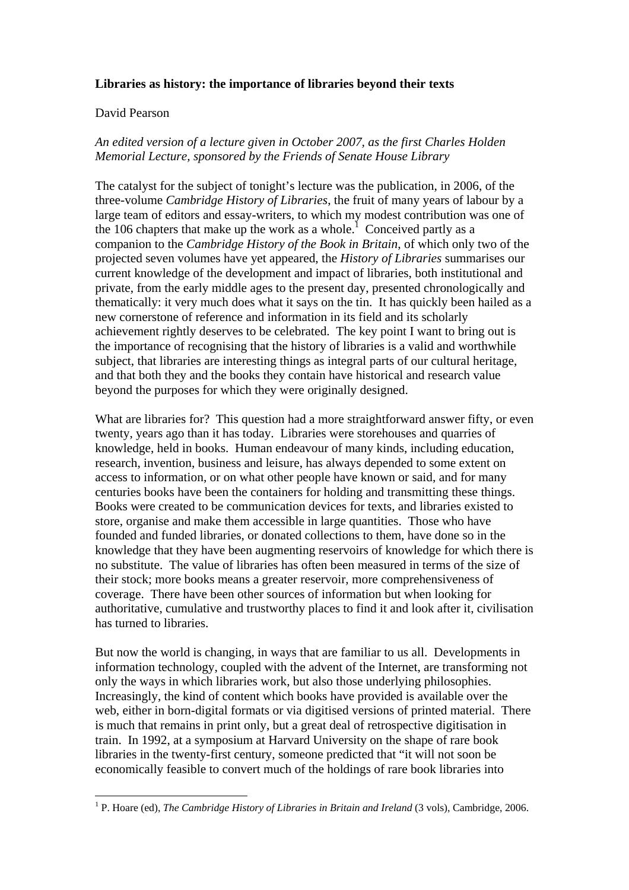## **Libraries as history: the importance of libraries beyond their texts**

## David Pearson

 $\overline{a}$ 

## *An edited version of a lecture given in October 2007, as the first Charles Holden Memorial Lecture, sponsored by the Friends of Senate House Library*

The catalyst for the subject of tonight's lecture was the publication, in 2006, of the three-volume *Cambridge History of Libraries*, the fruit of many years of labour by a large team of editors and essay-writers, to which my modest contribution was one of the 106 chapters that make up the work as a whole.<sup>1</sup> Conceived partly as a companion to the *Cambridge History of the Book in Britain*, of which only two of the projected seven volumes have yet appeared, the *History of Libraries* summarises our current knowledge of the development and impact of libraries, both institutional and private, from the early middle ages to the present day, presented chronologically and thematically: it very much does what it says on the tin. It has quickly been hailed as a new cornerstone of reference and information in its field and its scholarly achievement rightly deserves to be celebrated. The key point I want to bring out is the importance of recognising that the history of libraries is a valid and worthwhile subject, that libraries are interesting things as integral parts of our cultural heritage, and that both they and the books they contain have historical and research value beyond the purposes for which they were originally designed.

What are libraries for? This question had a more straightforward answer fifty, or even twenty, years ago than it has today. Libraries were storehouses and quarries of knowledge, held in books. Human endeavour of many kinds, including education, research, invention, business and leisure, has always depended to some extent on access to information, or on what other people have known or said, and for many centuries books have been the containers for holding and transmitting these things. Books were created to be communication devices for texts, and libraries existed to store, organise and make them accessible in large quantities. Those who have founded and funded libraries, or donated collections to them, have done so in the knowledge that they have been augmenting reservoirs of knowledge for which there is no substitute. The value of libraries has often been measured in terms of the size of their stock; more books means a greater reservoir, more comprehensiveness of coverage. There have been other sources of information but when looking for authoritative, cumulative and trustworthy places to find it and look after it, civilisation has turned to libraries.

But now the world is changing, in ways that are familiar to us all. Developments in information technology, coupled with the advent of the Internet, are transforming not only the ways in which libraries work, but also those underlying philosophies. Increasingly, the kind of content which books have provided is available over the web, either in born-digital formats or via digitised versions of printed material. There is much that remains in print only, but a great deal of retrospective digitisation in train. In 1992, at a symposium at Harvard University on the shape of rare book libraries in the twenty-first century, someone predicted that "it will not soon be economically feasible to convert much of the holdings of rare book libraries into

<sup>&</sup>lt;sup>1</sup> P. Hoare (ed), *The Cambridge History of Libraries in Britain and Ireland* (3 vols), Cambridge, 2006.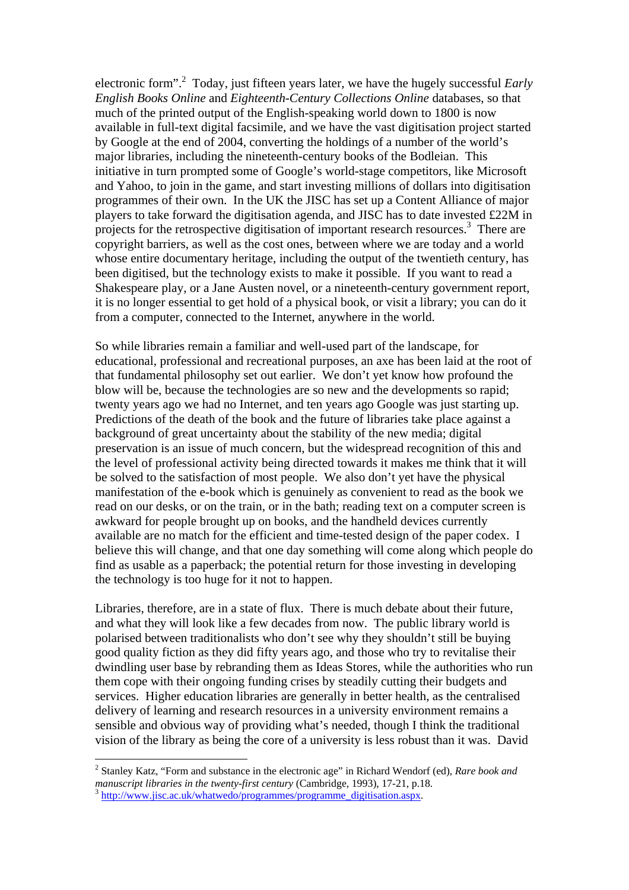electronic form".<sup>2</sup> Today, just fifteen years later, we have the hugely successful *Early English Books Online* and *Eighteenth-Century Collections Online* databases, so that much of the printed output of the English-speaking world down to 1800 is now available in full-text digital facsimile, and we have the vast digitisation project started by Google at the end of 2004, converting the holdings of a number of the world's major libraries, including the nineteenth-century books of the Bodleian. This initiative in turn prompted some of Google's world-stage competitors, like Microsoft and Yahoo, to join in the game, and start investing millions of dollars into digitisation programmes of their own. In the UK the JISC has set up a Content Alliance of major players to take forward the digitisation agenda, and JISC has to date invested £22M in projects for the retrospective digitisation of important research resources.<sup>3</sup> There are copyright barriers, as well as the cost ones, between where we are today and a world whose entire documentary heritage, including the output of the twentieth century, has been digitised, but the technology exists to make it possible. If you want to read a Shakespeare play, or a Jane Austen novel, or a nineteenth-century government report, it is no longer essential to get hold of a physical book, or visit a library; you can do it from a computer, connected to the Internet, anywhere in the world.

So while libraries remain a familiar and well-used part of the landscape, for educational, professional and recreational purposes, an axe has been laid at the root of that fundamental philosophy set out earlier. We don't yet know how profound the blow will be, because the technologies are so new and the developments so rapid; twenty years ago we had no Internet, and ten years ago Google was just starting up. Predictions of the death of the book and the future of libraries take place against a background of great uncertainty about the stability of the new media; digital preservation is an issue of much concern, but the widespread recognition of this and the level of professional activity being directed towards it makes me think that it will be solved to the satisfaction of most people. We also don't yet have the physical manifestation of the e-book which is genuinely as convenient to read as the book we read on our desks, or on the train, or in the bath; reading text on a computer screen is awkward for people brought up on books, and the handheld devices currently available are no match for the efficient and time-tested design of the paper codex. I believe this will change, and that one day something will come along which people do find as usable as a paperback; the potential return for those investing in developing the technology is too huge for it not to happen.

Libraries, therefore, are in a state of flux. There is much debate about their future, and what they will look like a few decades from now. The public library world is polarised between traditionalists who don't see why they shouldn't still be buying good quality fiction as they did fifty years ago, and those who try to revitalise their dwindling user base by rebranding them as Ideas Stores, while the authorities who run them cope with their ongoing funding crises by steadily cutting their budgets and services. Higher education libraries are generally in better health, as the centralised delivery of learning and research resources in a university environment remains a sensible and obvious way of providing what's needed, though I think the traditional vision of the library as being the core of a university is less robust than it was. David

<sup>2</sup> Stanley Katz, "Form and substance in the electronic age" in Richard Wendorf (ed), *Rare book and manuscript libraries in the twenty-first century* (Cambridge, 1993), 17-21, p.18. <sup>3</sup> http://www.jisc.ac.uk/whatwedo/programmes/programme\_digitisation.aspx.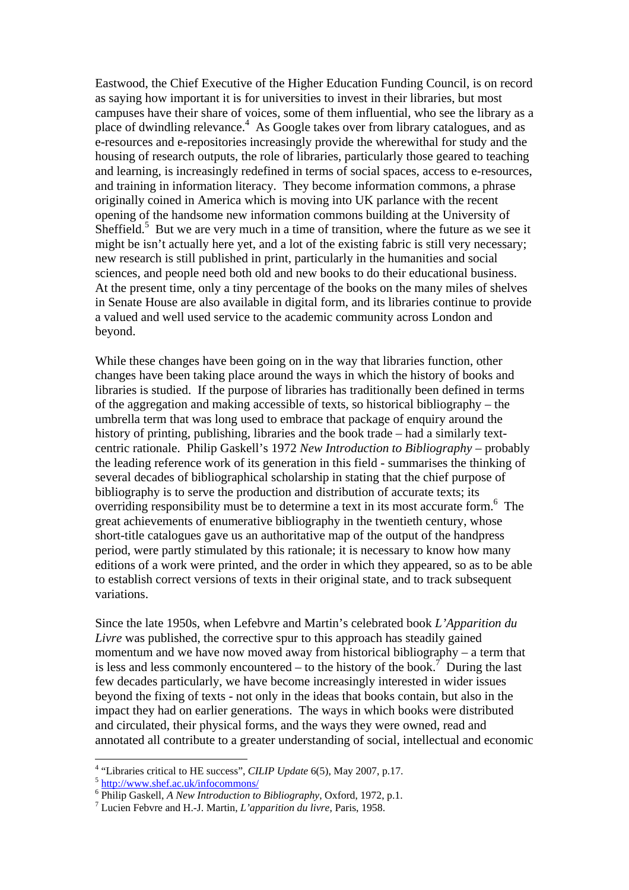Eastwood, the Chief Executive of the Higher Education Funding Council, is on record as saying how important it is for universities to invest in their libraries, but most campuses have their share of voices, some of them influential, who see the library as a place of dwindling relevance.<sup>4</sup> As Google takes over from library catalogues, and as e-resources and e-repositories increasingly provide the wherewithal for study and the housing of research outputs, the role of libraries, particularly those geared to teaching and learning, is increasingly redefined in terms of social spaces, access to e-resources, and training in information literacy. They become information commons, a phrase originally coined in America which is moving into UK parlance with the recent opening of the handsome new information commons building at the University of Sheffield.<sup>5</sup> But we are very much in a time of transition, where the future as we see it might be isn't actually here yet, and a lot of the existing fabric is still very necessary; new research is still published in print, particularly in the humanities and social sciences, and people need both old and new books to do their educational business. At the present time, only a tiny percentage of the books on the many miles of shelves in Senate House are also available in digital form, and its libraries continue to provide a valued and well used service to the academic community across London and beyond.

While these changes have been going on in the way that libraries function, other changes have been taking place around the ways in which the history of books and libraries is studied. If the purpose of libraries has traditionally been defined in terms of the aggregation and making accessible of texts, so historical bibliography – the umbrella term that was long used to embrace that package of enquiry around the history of printing, publishing, libraries and the book trade – had a similarly textcentric rationale. Philip Gaskell's 1972 *New Introduction to Bibliography* – probably the leading reference work of its generation in this field - summarises the thinking of several decades of bibliographical scholarship in stating that the chief purpose of bibliography is to serve the production and distribution of accurate texts; its overriding responsibility must be to determine a text in its most accurate form.<sup>6</sup> The great achievements of enumerative bibliography in the twentieth century, whose short-title catalogues gave us an authoritative map of the output of the handpress period, were partly stimulated by this rationale; it is necessary to know how many editions of a work were printed, and the order in which they appeared, so as to be able to establish correct versions of texts in their original state, and to track subsequent variations.

Since the late 1950s, when Lefebvre and Martin's celebrated book *L'Apparition du Livre* was published, the corrective spur to this approach has steadily gained momentum and we have now moved away from historical bibliography – a term that is less and less commonly encountered – to the history of the book.<sup> $\tau$ </sup> During the last few decades particularly, we have become increasingly interested in wider issues beyond the fixing of texts - not only in the ideas that books contain, but also in the impact they had on earlier generations. The ways in which books were distributed and circulated, their physical forms, and the ways they were owned, read and annotated all contribute to a greater understanding of social, intellectual and economic

<sup>&</sup>lt;sup>4</sup> "Libraries critical to HE success", *CILIP Update* 6(5), May 2007, p.17.<br><sup>5</sup> http://www.shef.ac.uk/infocommons/

 $^6$  Philip Gaskell, *A New Introduction to Bibliography*, Oxford, 1972, p.1.  $^7$  J using Behyra and H<sub>1</sub> Mertin *L'annarition du ling* Beric 1058

Lucien Febvre and H.-J. Martin, *L'apparition du livre*, Paris, 1958.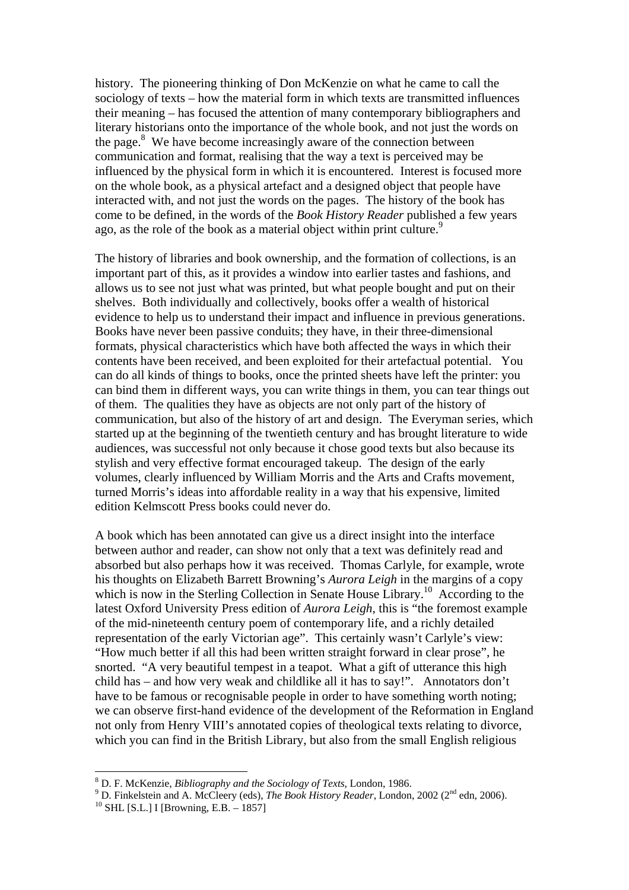history. The pioneering thinking of Don McKenzie on what he came to call the sociology of texts – how the material form in which texts are transmitted influences their meaning – has focused the attention of many contemporary bibliographers and literary historians onto the importance of the whole book, and not just the words on the page.<sup>8</sup> We have become increasingly aware of the connection between communication and format, realising that the way a text is perceived may be influenced by the physical form in which it is encountered. Interest is focused more on the whole book, as a physical artefact and a designed object that people have interacted with, and not just the words on the pages. The history of the book has come to be defined, in the words of the *Book History Reader* published a few years ago, as the role of the book as a material object within print culture.<sup>9</sup>

The history of libraries and book ownership, and the formation of collections, is an important part of this, as it provides a window into earlier tastes and fashions, and allows us to see not just what was printed, but what people bought and put on their shelves. Both individually and collectively, books offer a wealth of historical evidence to help us to understand their impact and influence in previous generations. Books have never been passive conduits; they have, in their three-dimensional formats, physical characteristics which have both affected the ways in which their contents have been received, and been exploited for their artefactual potential. You can do all kinds of things to books, once the printed sheets have left the printer: you can bind them in different ways, you can write things in them, you can tear things out of them. The qualities they have as objects are not only part of the history of communication, but also of the history of art and design. The Everyman series, which started up at the beginning of the twentieth century and has brought literature to wide audiences, was successful not only because it chose good texts but also because its stylish and very effective format encouraged takeup. The design of the early volumes, clearly influenced by William Morris and the Arts and Crafts movement, turned Morris's ideas into affordable reality in a way that his expensive, limited edition Kelmscott Press books could never do.

A book which has been annotated can give us a direct insight into the interface between author and reader, can show not only that a text was definitely read and absorbed but also perhaps how it was received. Thomas Carlyle, for example, wrote his thoughts on Elizabeth Barrett Browning's *Aurora Leigh* in the margins of a copy which is now in the Sterling Collection in Senate House Library.<sup>10</sup> According to the latest Oxford University Press edition of *Aurora Leigh*, this is "the foremost example of the mid-nineteenth century poem of contemporary life, and a richly detailed representation of the early Victorian age". This certainly wasn't Carlyle's view: "How much better if all this had been written straight forward in clear prose", he snorted. "A very beautiful tempest in a teapot. What a gift of utterance this high child has – and how very weak and childlike all it has to say!". Annotators don't have to be famous or recognisable people in order to have something worth noting; we can observe first-hand evidence of the development of the Reformation in England not only from Henry VIII's annotated copies of theological texts relating to divorce, which you can find in the British Library, but also from the small English religious

 $8$  D. F. McKenzie, *Bibliography and the Sociology of Texts*, London, 1986. <sup>8</sup> D. F. McKenzie, *Bibliography and the Sociology of Texts*, London, 1986.

<sup>&</sup>lt;sup>9</sup> D. Finkelstein and A. McCleery (eds), *The Book History Reader*, London, 2002 (2<sup>nd</sup> edn, 2006). <sup>10</sup> SHL [S.L.] I [Browning, E.B. – 1857]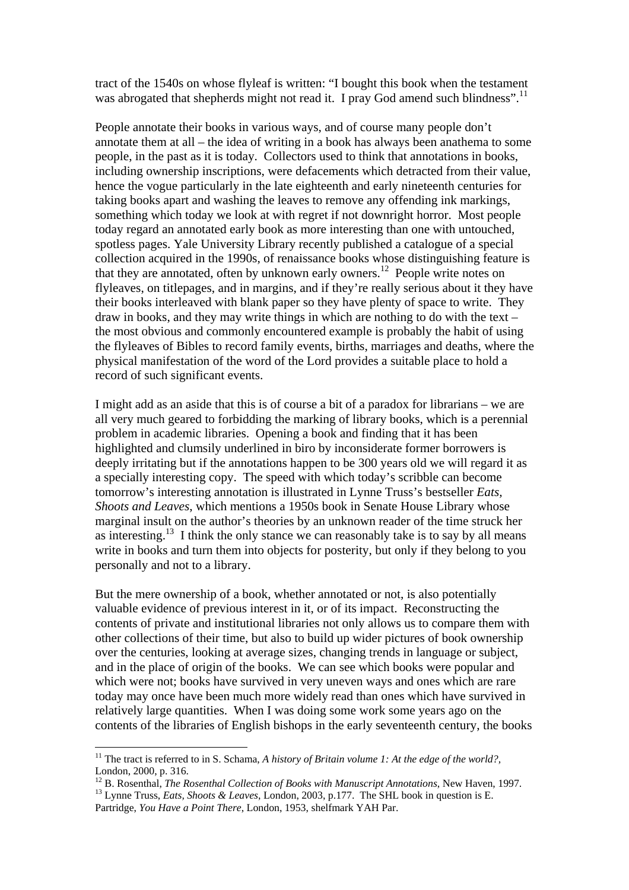tract of the 1540s on whose flyleaf is written: "I bought this book when the testament was abrogated that shepherds might not read it. I pray God amend such blindness".<sup>11</sup>

People annotate their books in various ways, and of course many people don't annotate them at all – the idea of writing in a book has always been anathema to some people, in the past as it is today. Collectors used to think that annotations in books, including ownership inscriptions, were defacements which detracted from their value, hence the vogue particularly in the late eighteenth and early nineteenth centuries for taking books apart and washing the leaves to remove any offending ink markings, something which today we look at with regret if not downright horror. Most people today regard an annotated early book as more interesting than one with untouched, spotless pages. Yale University Library recently published a catalogue of a special collection acquired in the 1990s, of renaissance books whose distinguishing feature is that they are annotated, often by unknown early owners.<sup>12</sup> People write notes on flyleaves, on titlepages, and in margins, and if they're really serious about it they have their books interleaved with blank paper so they have plenty of space to write. They draw in books, and they may write things in which are nothing to do with the text – the most obvious and commonly encountered example is probably the habit of using the flyleaves of Bibles to record family events, births, marriages and deaths, where the physical manifestation of the word of the Lord provides a suitable place to hold a record of such significant events.

I might add as an aside that this is of course a bit of a paradox for librarians – we are all very much geared to forbidding the marking of library books, which is a perennial problem in academic libraries. Opening a book and finding that it has been highlighted and clumsily underlined in biro by inconsiderate former borrowers is deeply irritating but if the annotations happen to be 300 years old we will regard it as a specially interesting copy. The speed with which today's scribble can become tomorrow's interesting annotation is illustrated in Lynne Truss's bestseller *Eats, Shoots and Leaves*, which mentions a 1950s book in Senate House Library whose marginal insult on the author's theories by an unknown reader of the time struck her as interesting.<sup>13</sup> I think the only stance we can reasonably take is to say by all means write in books and turn them into objects for posterity, but only if they belong to you personally and not to a library.

But the mere ownership of a book, whether annotated or not, is also potentially valuable evidence of previous interest in it, or of its impact. Reconstructing the contents of private and institutional libraries not only allows us to compare them with other collections of their time, but also to build up wider pictures of book ownership over the centuries, looking at average sizes, changing trends in language or subject, and in the place of origin of the books. We can see which books were popular and which were not; books have survived in very uneven ways and ones which are rare today may once have been much more widely read than ones which have survived in relatively large quantities. When I was doing some work some years ago on the contents of the libraries of English bishops in the early seventeenth century, the books

<sup>&</sup>lt;sup>11</sup> The tract is referred to in S. Schama, *A history of Britain volume 1: At the edge of the world?*, London, 2000, p. 316.<br><sup>12</sup> B. Rosenthal, *The Rosenthal Collection of Books with Manuscript Annotations*, New Haven, 1997.

<sup>&</sup>lt;sup>13</sup> Lynne Truss, *Eats, Shoots & Leaves*, London, 2003, p.177. The SHL book in question is E. Partridge, *You Have a Point There*, London, 1953, shelfmark YAH Par.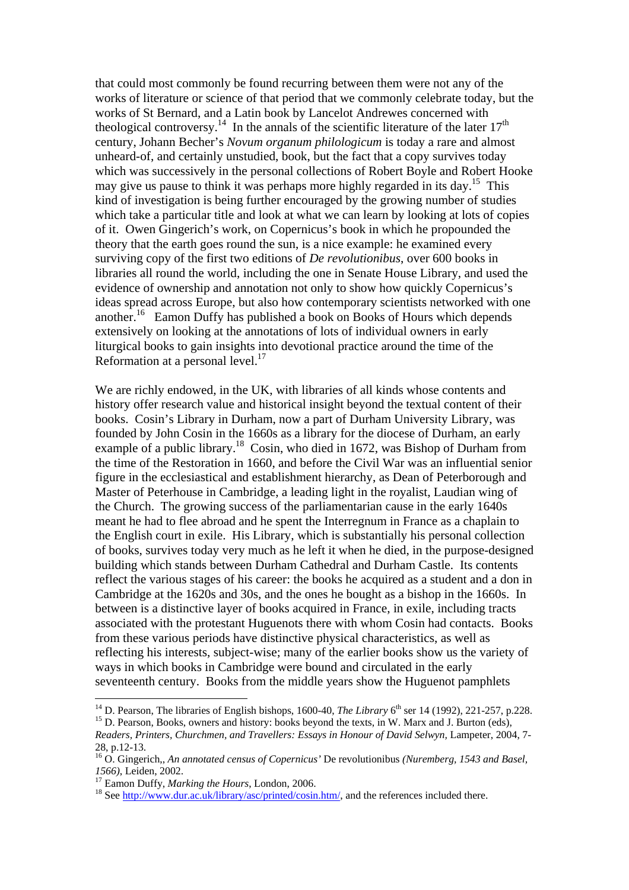that could most commonly be found recurring between them were not any of the works of literature or science of that period that we commonly celebrate today, but the works of St Bernard, and a Latin book by Lancelot Andrewes concerned with theological controversy.<sup>14</sup> In the annals of the scientific literature of the later  $17<sup>th</sup>$ century, Johann Becher's *Novum organum philologicum* is today a rare and almost unheard-of, and certainly unstudied, book, but the fact that a copy survives today which was successively in the personal collections of Robert Boyle and Robert Hooke may give us pause to think it was perhaps more highly regarded in its day.<sup>15</sup> This kind of investigation is being further encouraged by the growing number of studies which take a particular title and look at what we can learn by looking at lots of copies of it. Owen Gingerich's work, on Copernicus's book in which he propounded the theory that the earth goes round the sun, is a nice example: he examined every surviving copy of the first two editions of *De revolutionibus*, over 600 books in libraries all round the world, including the one in Senate House Library, and used the evidence of ownership and annotation not only to show how quickly Copernicus's ideas spread across Europe, but also how contemporary scientists networked with one another.16 Eamon Duffy has published a book on Books of Hours which depends extensively on looking at the annotations of lots of individual owners in early liturgical books to gain insights into devotional practice around the time of the Reformation at a personal level.<sup>17</sup>

We are richly endowed, in the UK, with libraries of all kinds whose contents and history offer research value and historical insight beyond the textual content of their books. Cosin's Library in Durham, now a part of Durham University Library, was founded by John Cosin in the 1660s as a library for the diocese of Durham, an early example of a public library.<sup>18</sup> Cosin, who died in 1672, was Bishop of Durham from the time of the Restoration in 1660, and before the Civil War was an influential senior figure in the ecclesiastical and establishment hierarchy, as Dean of Peterborough and Master of Peterhouse in Cambridge, a leading light in the royalist, Laudian wing of the Church. The growing success of the parliamentarian cause in the early 1640s meant he had to flee abroad and he spent the Interregnum in France as a chaplain to the English court in exile. His Library, which is substantially his personal collection of books, survives today very much as he left it when he died, in the purpose-designed building which stands between Durham Cathedral and Durham Castle. Its contents reflect the various stages of his career: the books he acquired as a student and a don in Cambridge at the 1620s and 30s, and the ones he bought as a bishop in the 1660s. In between is a distinctive layer of books acquired in France, in exile, including tracts associated with the protestant Huguenots there with whom Cosin had contacts. Books from these various periods have distinctive physical characteristics, as well as reflecting his interests, subject-wise; many of the earlier books show us the variety of ways in which books in Cambridge were bound and circulated in the early seventeenth century. Books from the middle years show the Huguenot pamphlets

<sup>&</sup>lt;sup>14</sup> D. Pearson, The libraries of English bishops, 1600-40, *The Library* 6<sup>th</sup> ser 14 (1992), 221-257, p.228. <sup>15</sup> D. Pearson, Books, owners and history: books beyond the texts, in W. Marx and J. Burton (eds),

*Readers, Printers, Churchmen, and Travellers: Essays in Honour of David Selwyn,* Lampeter, 2004, 7- 28, p.12-13.

<sup>16</sup> O. Gingerich,, *An annotated census of Copernicus'* De revolutionibus *(Nuremberg, 1543 and Basel, 1566*), Leiden, 2002.<br><sup>17</sup> Eamon Duffy, *Marking the Hours*, London, 2006.<br><sup>18</sup> See http://www.dur.ac.uk/library/asc/printed/cosin.htm/, and the references included there.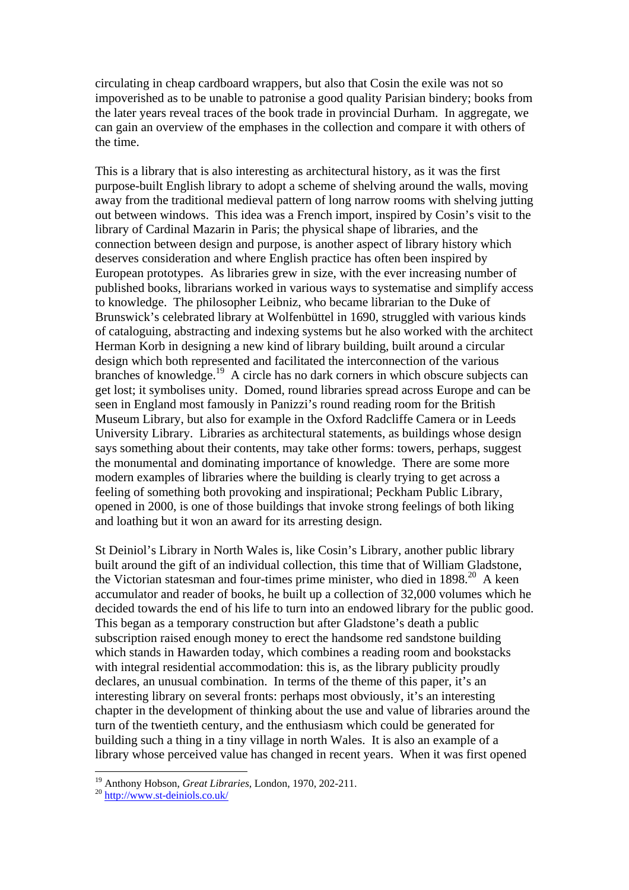circulating in cheap cardboard wrappers, but also that Cosin the exile was not so impoverished as to be unable to patronise a good quality Parisian bindery; books from the later years reveal traces of the book trade in provincial Durham. In aggregate, we can gain an overview of the emphases in the collection and compare it with others of the time.

This is a library that is also interesting as architectural history, as it was the first purpose-built English library to adopt a scheme of shelving around the walls, moving away from the traditional medieval pattern of long narrow rooms with shelving jutting out between windows. This idea was a French import, inspired by Cosin's visit to the library of Cardinal Mazarin in Paris; the physical shape of libraries, and the connection between design and purpose, is another aspect of library history which deserves consideration and where English practice has often been inspired by European prototypes. As libraries grew in size, with the ever increasing number of published books, librarians worked in various ways to systematise and simplify access to knowledge. The philosopher Leibniz, who became librarian to the Duke of Brunswick's celebrated library at Wolfenbüttel in 1690, struggled with various kinds of cataloguing, abstracting and indexing systems but he also worked with the architect Herman Korb in designing a new kind of library building, built around a circular design which both represented and facilitated the interconnection of the various branches of knowledge.19 A circle has no dark corners in which obscure subjects can get lost; it symbolises unity. Domed, round libraries spread across Europe and can be seen in England most famously in Panizzi's round reading room for the British Museum Library, but also for example in the Oxford Radcliffe Camera or in Leeds University Library. Libraries as architectural statements, as buildings whose design says something about their contents, may take other forms: towers, perhaps, suggest the monumental and dominating importance of knowledge. There are some more modern examples of libraries where the building is clearly trying to get across a feeling of something both provoking and inspirational; Peckham Public Library, opened in 2000, is one of those buildings that invoke strong feelings of both liking and loathing but it won an award for its arresting design.

St Deiniol's Library in North Wales is, like Cosin's Library, another public library built around the gift of an individual collection, this time that of William Gladstone, the Victorian statesman and four-times prime minister, who died in  $1898.<sup>20</sup>$  A keen accumulator and reader of books, he built up a collection of 32,000 volumes which he decided towards the end of his life to turn into an endowed library for the public good. This began as a temporary construction but after Gladstone's death a public subscription raised enough money to erect the handsome red sandstone building which stands in Hawarden today, which combines a reading room and bookstacks with integral residential accommodation: this is, as the library publicity proudly declares, an unusual combination. In terms of the theme of this paper, it's an interesting library on several fronts: perhaps most obviously, it's an interesting chapter in the development of thinking about the use and value of libraries around the turn of the twentieth century, and the enthusiasm which could be generated for building such a thing in a tiny village in north Wales. It is also an example of a library whose perceived value has changed in recent years. When it was first opened

<sup>&</sup>lt;sup>19</sup> Anthony Hobson, *Great Libraries*, London, 1970, 202-211.<br><sup>20</sup> http://www.st-deiniols.co.uk/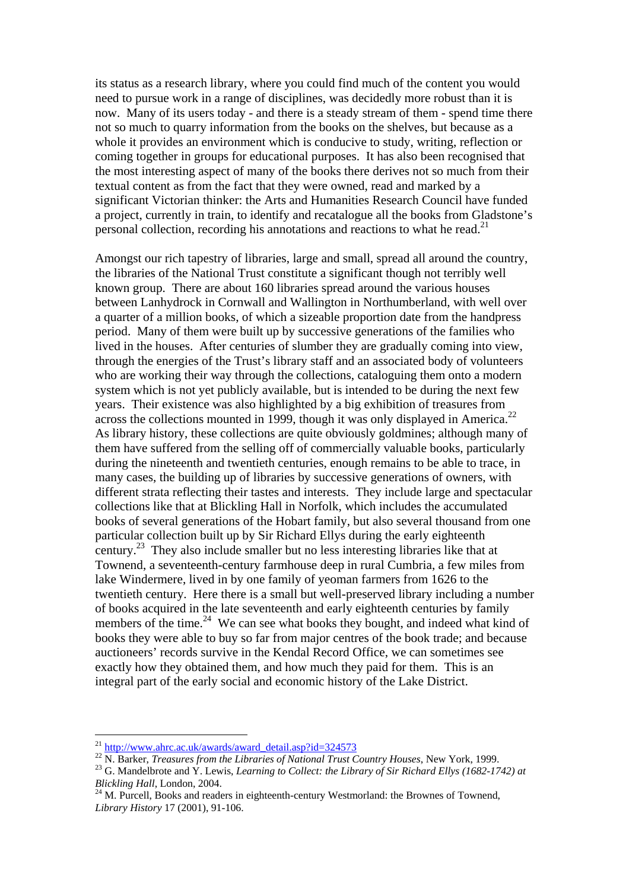its status as a research library, where you could find much of the content you would need to pursue work in a range of disciplines, was decidedly more robust than it is now. Many of its users today - and there is a steady stream of them - spend time there not so much to quarry information from the books on the shelves, but because as a whole it provides an environment which is conducive to study, writing, reflection or coming together in groups for educational purposes. It has also been recognised that the most interesting aspect of many of the books there derives not so much from their textual content as from the fact that they were owned, read and marked by a significant Victorian thinker: the Arts and Humanities Research Council have funded a project, currently in train, to identify and recatalogue all the books from Gladstone's personal collection, recording his annotations and reactions to what he read.<sup>21</sup>

Amongst our rich tapestry of libraries, large and small, spread all around the country, the libraries of the National Trust constitute a significant though not terribly well known group. There are about 160 libraries spread around the various houses between Lanhydrock in Cornwall and Wallington in Northumberland, with well over a quarter of a million books, of which a sizeable proportion date from the handpress period. Many of them were built up by successive generations of the families who lived in the houses. After centuries of slumber they are gradually coming into view, through the energies of the Trust's library staff and an associated body of volunteers who are working their way through the collections, cataloguing them onto a modern system which is not yet publicly available, but is intended to be during the next few years. Their existence was also highlighted by a big exhibition of treasures from across the collections mounted in 1999, though it was only displayed in America.<sup>22</sup> As library history, these collections are quite obviously goldmines; although many of them have suffered from the selling off of commercially valuable books, particularly during the nineteenth and twentieth centuries, enough remains to be able to trace, in many cases, the building up of libraries by successive generations of owners, with different strata reflecting their tastes and interests. They include large and spectacular collections like that at Blickling Hall in Norfolk, which includes the accumulated books of several generations of the Hobart family, but also several thousand from one particular collection built up by Sir Richard Ellys during the early eighteenth century.23 They also include smaller but no less interesting libraries like that at Townend, a seventeenth-century farmhouse deep in rural Cumbria, a few miles from lake Windermere, lived in by one family of yeoman farmers from 1626 to the twentieth century. Here there is a small but well-preserved library including a number of books acquired in the late seventeenth and early eighteenth centuries by family members of the time.<sup>24</sup> We can see what books they bought, and indeed what kind of books they were able to buy so far from major centres of the book trade; and because auctioneers' records survive in the Kendal Record Office, we can sometimes see exactly how they obtained them, and how much they paid for them. This is an integral part of the early social and economic history of the Lake District.

 $^{21}$  http://www.ahrc.ac.uk/awards/award\_detail.asp?id=324573

<sup>&</sup>lt;sup>22</sup> N. Barker, *Treasures from the Libraries of National Trust Country Houses*, New York, 1999.<br><sup>23</sup> G. Mandelbrote and Y. Lewis, *Learning to Collect: the Library of Sir Richard Ellys (1682-1742) at Blickling Hall. Lond* 

<sup>&</sup>lt;sup>24</sup> M. Purcell, Books and readers in eighteenth-century Westmorland: the Brownes of Townend, *Library History* 17 (2001), 91-106.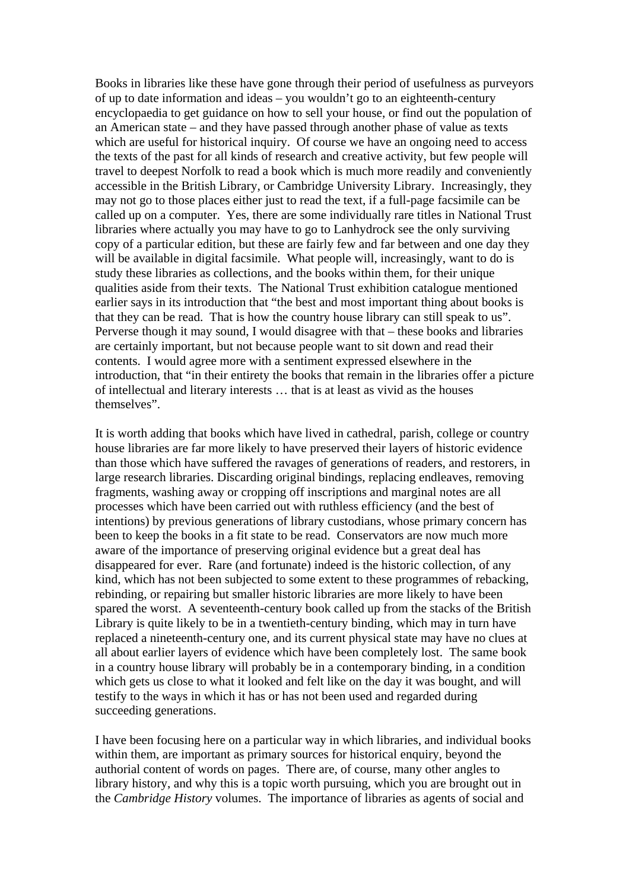Books in libraries like these have gone through their period of usefulness as purveyors of up to date information and ideas – you wouldn't go to an eighteenth-century encyclopaedia to get guidance on how to sell your house, or find out the population of an American state – and they have passed through another phase of value as texts which are useful for historical inquiry. Of course we have an ongoing need to access the texts of the past for all kinds of research and creative activity, but few people will travel to deepest Norfolk to read a book which is much more readily and conveniently accessible in the British Library, or Cambridge University Library. Increasingly, they may not go to those places either just to read the text, if a full-page facsimile can be called up on a computer. Yes, there are some individually rare titles in National Trust libraries where actually you may have to go to Lanhydrock see the only surviving copy of a particular edition, but these are fairly few and far between and one day they will be available in digital facsimile. What people will, increasingly, want to do is study these libraries as collections, and the books within them, for their unique qualities aside from their texts. The National Trust exhibition catalogue mentioned earlier says in its introduction that "the best and most important thing about books is that they can be read. That is how the country house library can still speak to us". Perverse though it may sound, I would disagree with that – these books and libraries are certainly important, but not because people want to sit down and read their contents. I would agree more with a sentiment expressed elsewhere in the introduction, that "in their entirety the books that remain in the libraries offer a picture of intellectual and literary interests … that is at least as vivid as the houses themselves".

It is worth adding that books which have lived in cathedral, parish, college or country house libraries are far more likely to have preserved their layers of historic evidence than those which have suffered the ravages of generations of readers, and restorers, in large research libraries. Discarding original bindings, replacing endleaves, removing fragments, washing away or cropping off inscriptions and marginal notes are all processes which have been carried out with ruthless efficiency (and the best of intentions) by previous generations of library custodians, whose primary concern has been to keep the books in a fit state to be read. Conservators are now much more aware of the importance of preserving original evidence but a great deal has disappeared for ever. Rare (and fortunate) indeed is the historic collection, of any kind, which has not been subjected to some extent to these programmes of rebacking, rebinding, or repairing but smaller historic libraries are more likely to have been spared the worst. A seventeenth-century book called up from the stacks of the British Library is quite likely to be in a twentieth-century binding, which may in turn have replaced a nineteenth-century one, and its current physical state may have no clues at all about earlier layers of evidence which have been completely lost. The same book in a country house library will probably be in a contemporary binding, in a condition which gets us close to what it looked and felt like on the day it was bought, and will testify to the ways in which it has or has not been used and regarded during succeeding generations.

I have been focusing here on a particular way in which libraries, and individual books within them, are important as primary sources for historical enquiry, beyond the authorial content of words on pages. There are, of course, many other angles to library history, and why this is a topic worth pursuing, which you are brought out in the *Cambridge History* volumes. The importance of libraries as agents of social and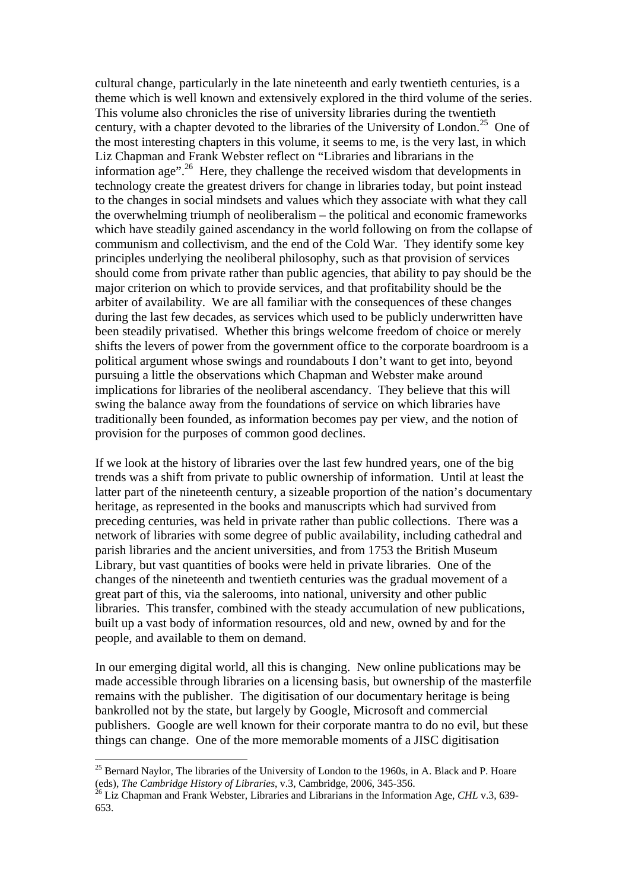cultural change, particularly in the late nineteenth and early twentieth centuries, is a theme which is well known and extensively explored in the third volume of the series. This volume also chronicles the rise of university libraries during the twentieth century, with a chapter devoted to the libraries of the University of London.<sup>25</sup> One of the most interesting chapters in this volume, it seems to me, is the very last, in which Liz Chapman and Frank Webster reflect on "Libraries and librarians in the information age"<sup>.26</sup> Here, they challenge the received wisdom that developments in technology create the greatest drivers for change in libraries today, but point instead to the changes in social mindsets and values which they associate with what they call the overwhelming triumph of neoliberalism – the political and economic frameworks which have steadily gained ascendancy in the world following on from the collapse of communism and collectivism, and the end of the Cold War. They identify some key principles underlying the neoliberal philosophy, such as that provision of services should come from private rather than public agencies, that ability to pay should be the major criterion on which to provide services, and that profitability should be the arbiter of availability. We are all familiar with the consequences of these changes during the last few decades, as services which used to be publicly underwritten have been steadily privatised. Whether this brings welcome freedom of choice or merely shifts the levers of power from the government office to the corporate boardroom is a political argument whose swings and roundabouts I don't want to get into, beyond pursuing a little the observations which Chapman and Webster make around implications for libraries of the neoliberal ascendancy. They believe that this will swing the balance away from the foundations of service on which libraries have traditionally been founded, as information becomes pay per view, and the notion of provision for the purposes of common good declines.

If we look at the history of libraries over the last few hundred years, one of the big trends was a shift from private to public ownership of information. Until at least the latter part of the nineteenth century, a sizeable proportion of the nation's documentary heritage, as represented in the books and manuscripts which had survived from preceding centuries, was held in private rather than public collections. There was a network of libraries with some degree of public availability, including cathedral and parish libraries and the ancient universities, and from 1753 the British Museum Library, but vast quantities of books were held in private libraries. One of the changes of the nineteenth and twentieth centuries was the gradual movement of a great part of this, via the salerooms, into national, university and other public libraries. This transfer, combined with the steady accumulation of new publications, built up a vast body of information resources, old and new, owned by and for the people, and available to them on demand.

In our emerging digital world, all this is changing. New online publications may be made accessible through libraries on a licensing basis, but ownership of the masterfile remains with the publisher. The digitisation of our documentary heritage is being bankrolled not by the state, but largely by Google, Microsoft and commercial publishers. Google are well known for their corporate mantra to do no evil, but these things can change. One of the more memorable moments of a JISC digitisation

<sup>&</sup>lt;sup>25</sup> Bernard Naylor, The libraries of the University of London to the 1960s, in A. Black and P. Hoare (eds), *The Cambridge History of Libraries*, v.3, Cambridge, 2006, 345-356.

<sup>&</sup>lt;sup>26</sup> Liz Chapman and Frank Webster, Libraries and Librarians in the Information Age, *CHL* v.3, 639-653.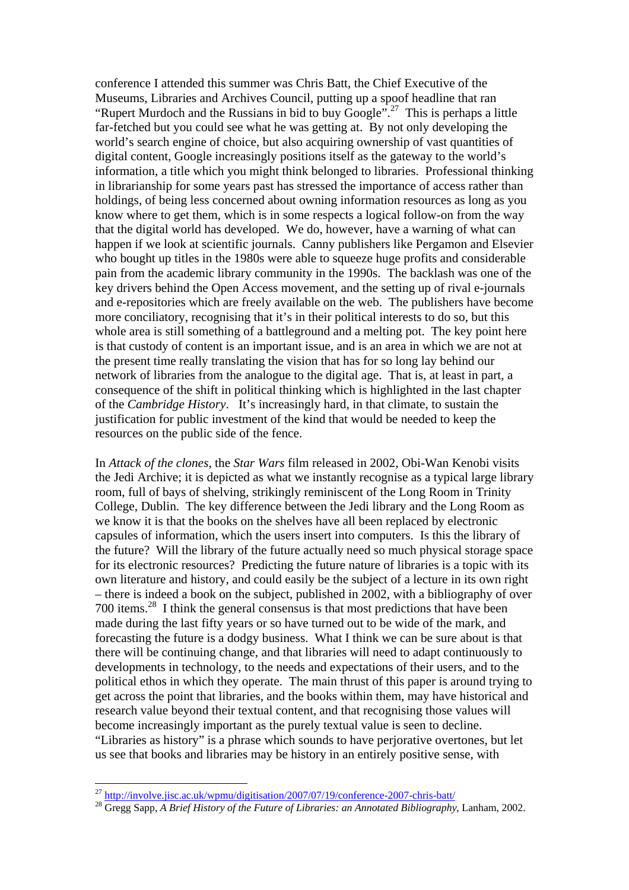conference I attended this summer was Chris Batt, the Chief Executive of the Museums, Libraries and Archives Council, putting up a spoof headline that ran "Rupert Murdoch and the Russians in bid to buy  $\overline{Google}$ ".<sup>27</sup> This is perhaps a little far-fetched but you could see what he was getting at. By not only developing the world's search engine of choice, but also acquiring ownership of vast quantities of digital content, Google increasingly positions itself as the gateway to the world's information, a title which you might think belonged to libraries. Professional thinking in librarianship for some years past has stressed the importance of access rather than holdings, of being less concerned about owning information resources as long as you know where to get them, which is in some respects a logical follow-on from the way that the digital world has developed. We do, however, have a warning of what can happen if we look at scientific journals. Canny publishers like Pergamon and Elsevier who bought up titles in the 1980s were able to squeeze huge profits and considerable pain from the academic library community in the 1990s. The backlash was one of the key drivers behind the Open Access movement, and the setting up of rival e-journals and e-repositories which are freely available on the web. The publishers have become more conciliatory, recognising that it's in their political interests to do so, but this whole area is still something of a battleground and a melting pot. The key point here is that custody of content is an important issue, and is an area in which we are not at the present time really translating the vision that has for so long lay behind our network of libraries from the analogue to the digital age. That is, at least in part, a consequence of the shift in political thinking which is highlighted in the last chapter of the *Cambridge History*. It's increasingly hard, in that climate, to sustain the justification for public investment of the kind that would be needed to keep the resources on the public side of the fence.

In *Attack of the clones*, the *Star Wars* film released in 2002, Obi-Wan Kenobi visits the Jedi Archive; it is depicted as what we instantly recognise as a typical large library room, full of bays of shelving, strikingly reminiscent of the Long Room in Trinity College, Dublin. The key difference between the Jedi library and the Long Room as we know it is that the books on the shelves have all been replaced by electronic capsules of information, which the users insert into computers. Is this the library of the future? Will the library of the future actually need so much physical storage space for its electronic resources? Predicting the future nature of libraries is a topic with its own literature and history, and could easily be the subject of a lecture in its own right – there is indeed a book on the subject, published in 2002, with a bibliography of over 700 items.28 I think the general consensus is that most predictions that have been made during the last fifty years or so have turned out to be wide of the mark, and forecasting the future is a dodgy business. What I think we can be sure about is that there will be continuing change, and that libraries will need to adapt continuously to developments in technology, to the needs and expectations of their users, and to the political ethos in which they operate. The main thrust of this paper is around trying to get across the point that libraries, and the books within them, may have historical and research value beyond their textual content, and that recognising those values will become increasingly important as the purely textual value is seen to decline. "Libraries as history" is a phrase which sounds to have perjorative overtones, but let us see that books and libraries may be history in an entirely positive sense, with

<sup>&</sup>lt;sup>27</sup> http://involve.jisc.ac.uk/wpmu/digitisation/2007/07/19/conference-2007-chris-batt/

<sup>&</sup>lt;sup>28</sup> Gregg Sapp, *A Brief History of the Future of Libraries: an Annotated Bibliography*, Lanham, 2002.